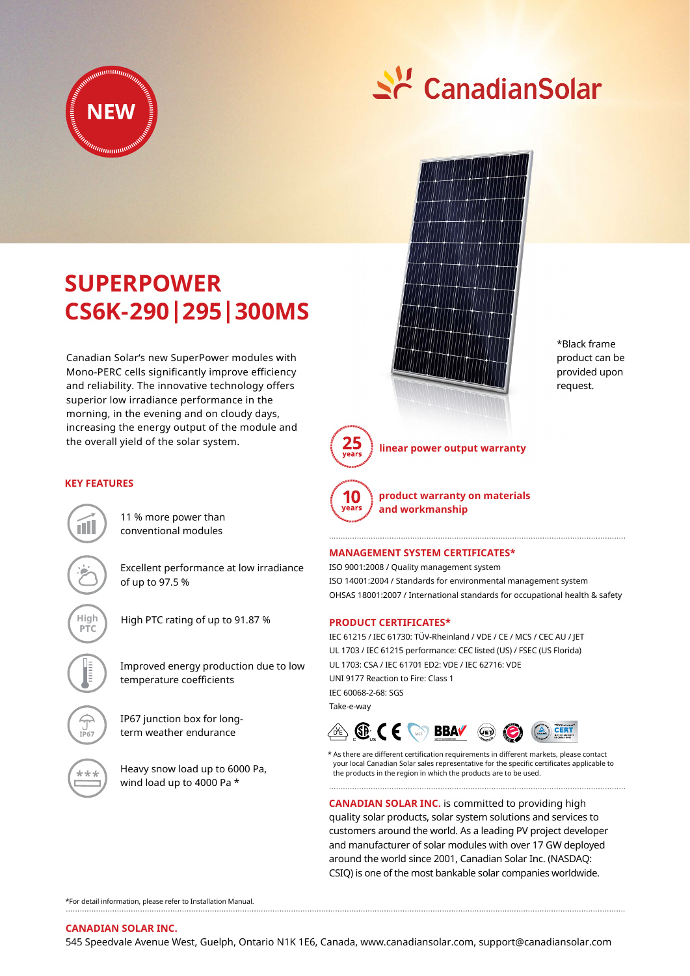

**SUPERPOWER**

**KEY FEATURES**

**CS6K-290|295|300MS**

Canadian Solar's new SuperPower modules with Mono-PERC cells significantly improve efficiency and reliability. The innovative technology offers superior low irradiance performance in the morning, in the evening and on cloudy days, increasing the energy output of the module and

# Sc CanadianSolar



\*Black frame product can be provided upon request.

25

**linear power output warranty**



**product warranty on materials** 

11 % more power than

Excellent performance at low irradiance of up to 97.5 %

conventional modules

the overall yield of the solar system.

**High** High PTC rating of up to 91.87 %

Improved energy production due to low temperature coefficients

IP67 junction box for longterm weather endurance

Heavy snow load up to 6000 Pa, wind load up to 4000 Pa \*

# **Management System Certificates\***

**and workmanship**

ISO 9001:2008 / Quality management system ISO 14001:2004 / Standards for environmental management system OHSAS 18001:2007 / International standards for occupational health & safety

# **Product CERTIFICATEs\***

IEC 61215 / IEC 61730: TÜV-Rheinland / VDE / CE / MCS / CEC AU / JET UL 1703 / IEC 61215 performance: CEC listed (US) / FSEC (US Florida) UL 1703: CSA / IEC 61701 ED2: VDE / IEC 62716: VDE UNI 9177 Reaction to Fire: Class 1 IEC 60068-2-68: SGS Take-e-way



\* As there are different certification requirements in different markets, please contact your local Canadian Solar sales representative for the specific certificates applicable to the products in the region in which the products are to be used.

**CANADIAN SOLAR INC.** is committed to providing high quality solar products, solar system solutions and services to customers around the world. As a leading PV project developer and manufacturer of solar modules with over 17 GW deployed around the world since 2001, Canadian Solar Inc. (NASDAQ: CSIQ) is one of the most bankable solar companies worldwide.

\*For detail information, please refer to Installation Manual.

**Canadian Solar Inc.**